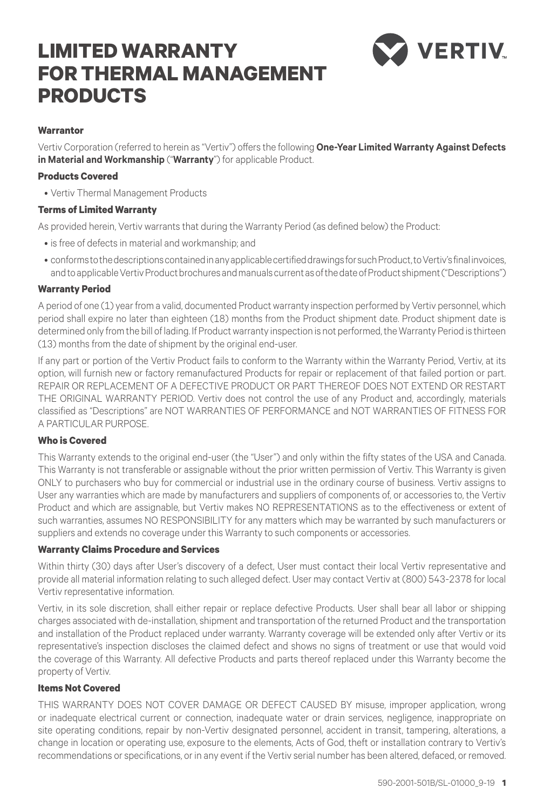# **LIMITED WARRANTY FOR THERMAL MANAGEMENT PRODUCTS**



## **Warrantor**

Vertiv Corporation (referred to herein as "Vertiv") offers the following **One-Year Limited Warranty Against Defects in Material and Workmanship** ("**Warranty**") for applicable Product.

#### **Products Covered**

• Vertiv Thermal Management Products

#### **Terms of Limited Warranty**

As provided herein, Vertiv warrants that during the Warranty Period (as defined below) the Product:

- is free of defects in material and workmanship; and
- conforms to the descriptions contained in any applicable certified drawings for such Product, to Vertiv's final invoices, and to applicable Vertiv Product brochures and manuals current as of the date of Product shipment ("Descriptions")

## **Warranty Period**

A period of one (1) year from a valid, documented Product warranty inspection performed by Vertiv personnel, which period shall expire no later than eighteen (18) months from the Product shipment date. Product shipment date is determined only from the bill of lading. If Product warranty inspection is not performed, the Warranty Period is thirteen (13) months from the date of shipment by the original end-user.

If any part or portion of the Vertiv Product fails to conform to the Warranty within the Warranty Period, Vertiv, at its option, will furnish new or factory remanufactured Products for repair or replacement of that failed portion or part. REPAIR OR REPLACEMENT OF A DEFECTIVE PRODUCT OR PART THEREOF DOES NOT EXTEND OR RESTART THE ORIGINAL WARRANTY PERIOD. Vertiv does not control the use of any Product and, accordingly, materials classified as "Descriptions" are NOT WARRANTIES OF PERFORMANCE and NOT WARRANTIES OF FITNESS FOR A PARTICULAR PURPOSE.

## **Who is Covered**

This Warranty extends to the original end-user (the "User") and only within the fifty states of the USA and Canada. This Warranty is not transferable or assignable without the prior written permission of Vertiv. This Warranty is given ONLY to purchasers who buy for commercial or industrial use in the ordinary course of business. Vertiv assigns to User any warranties which are made by manufacturers and suppliers of components of, or accessories to, the Vertiv Product and which are assignable, but Vertiv makes NO REPRESENTATIONS as to the effectiveness or extent of such warranties, assumes NO RESPONSIBILITY for any matters which may be warranted by such manufacturers or suppliers and extends no coverage under this Warranty to such components or accessories.

## **Warranty Claims Procedure and Services**

Within thirty (30) days after User's discovery of a defect, User must contact their local Vertiv representative and provide all material information relating to such alleged defect. User may contact Vertiv at (800) 543-2378 for local Vertiv representative information.

Vertiv, in its sole discretion, shall either repair or replace defective Products. User shall bear all labor or shipping charges associated with de-installation, shipment and transportation of the returned Product and the transportation and installation of the Product replaced under warranty. Warranty coverage will be extended only after Vertiv or its representative's inspection discloses the claimed defect and shows no signs of treatment or use that would void the coverage of this Warranty. All defective Products and parts thereof replaced under this Warranty become the property of Vertiv.

# **Items Not Covered**

THIS WARRANTY DOES NOT COVER DAMAGE OR DEFECT CAUSED BY misuse, improper application, wrong or inadequate electrical current or connection, inadequate water or drain services, negligence, inappropriate on site operating conditions, repair by non-Vertiv designated personnel, accident in transit, tampering, alterations, a change in location or operating use, exposure to the elements, Acts of God, theft or installation contrary to Vertiv's recommendations or specifications, or in any event if the Vertiv serial number has been altered, defaced, or removed.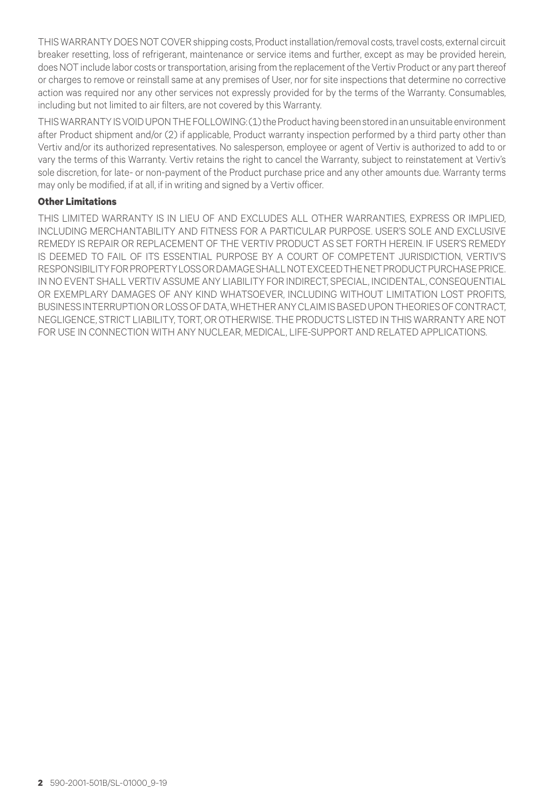THIS WARRANTY DOES NOT COVER shipping costs, Product installation/removal costs, travel costs, external circuit breaker resetting, loss of refrigerant, maintenance or service items and further, except as may be provided herein, does NOT include labor costs or transportation, arising from the replacement of the Vertiv Product or any part thereof or charges to remove or reinstall same at any premises of User, nor for site inspections that determine no corrective action was required nor any other services not expressly provided for by the terms of the Warranty. Consumables, including but not limited to air filters, are not covered by this Warranty.

THIS WARRANTY IS VOID UPON THE FOLLOWING: (1) the Product having been stored in an unsuitable environment after Product shipment and/or (2) if applicable, Product warranty inspection performed by a third party other than Vertiv and/or its authorized representatives. No salesperson, employee or agent of Vertiv is authorized to add to or vary the terms of this Warranty. Vertiv retains the right to cancel the Warranty, subject to reinstatement at Vertiv's sole discretion, for late- or non-payment of the Product purchase price and any other amounts due. Warranty terms may only be modified, if at all, if in writing and signed by a Vertiv officer.

# **Other Limitations**

THIS LIMITED WARRANTY IS IN LIEU OF AND EXCLUDES ALL OTHER WARRANTIES, EXPRESS OR IMPLIED, INCLUDING MERCHANTABILITY AND FITNESS FOR A PARTICULAR PURPOSE. USER'S SOLE AND EXCLUSIVE REMEDY IS REPAIR OR REPLACEMENT OF THE VERTIV PRODUCT AS SET FORTH HEREIN. IF USER'S REMEDY IS DEEMED TO FAIL OF ITS ESSENTIAL PURPOSE BY A COURT OF COMPETENT JURISDICTION, VERTIV'S RESPONSIBILITY FOR PROPERTY LOSS OR DAMAGE SHALL NOT EXCEED THE NET PRODUCT PURCHASE PRICE. IN NO EVENT SHALL VERTIV ASSUME ANY LIABILITY FOR INDIRECT, SPECIAL, INCIDENTAL, CONSEQUENTIAL OR EXEMPLARY DAMAGES OF ANY KIND WHATSOEVER, INCLUDING WITHOUT LIMITATION LOST PROFITS, BUSINESS INTERRUPTION OR LOSS OF DATA, WHETHER ANY CLAIM IS BASED UPON THEORIES OF CONTRACT, NEGLIGENCE, STRICT LIABILITY, TORT, OR OTHERWISE. THE PRODUCTS LISTED IN THIS WARRANTY ARE NOT FOR USE IN CONNECTION WITH ANY NUCLEAR, MEDICAL, LIFE-SUPPORT AND RELATED APPLICATIONS.